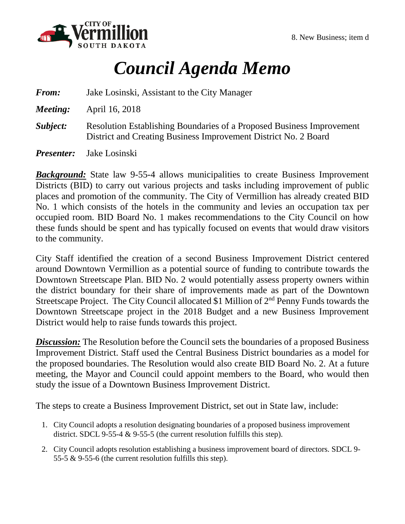

## *Council Agenda Memo*

| <b>From:</b> | Jake Losinski, Assistant to the City Manager                                                                                             |
|--------------|------------------------------------------------------------------------------------------------------------------------------------------|
| Meeting:     | April 16, 2018                                                                                                                           |
| Subject:     | Resolution Establishing Boundaries of a Proposed Business Improvement<br>District and Creating Business Improvement District No. 2 Board |
|              | <i>Presenter:</i> Jake Losinski                                                                                                          |

*Background:* State law 9-55-4 allows municipalities to create Business Improvement Districts (BID) to carry out various projects and tasks including improvement of public places and promotion of the community. The City of Vermillion has already created BID No. 1 which consists of the hotels in the community and levies an occupation tax per occupied room. BID Board No. 1 makes recommendations to the City Council on how these funds should be spent and has typically focused on events that would draw visitors to the community.

City Staff identified the creation of a second Business Improvement District centered around Downtown Vermillion as a potential source of funding to contribute towards the Downtown Streetscape Plan. BID No. 2 would potentially assess property owners within the district boundary for their share of improvements made as part of the Downtown Streetscape Project. The City Council allocated \$1 Million of 2<sup>nd</sup> Penny Funds towards the Downtown Streetscape project in the 2018 Budget and a new Business Improvement District would help to raise funds towards this project.

**Discussion:** The Resolution before the Council sets the boundaries of a proposed Business Improvement District. Staff used the Central Business District boundaries as a model for the proposed boundaries. The Resolution would also create BID Board No. 2. At a future meeting, the Mayor and Council could appoint members to the Board, who would then study the issue of a Downtown Business Improvement District.

The steps to create a Business Improvement District, set out in State law, include:

- 1. City Council adopts a resolution designating boundaries of a proposed business improvement district. SDCL 9-55-4  $&$  9-55-5 (the current resolution fulfills this step).
- 2. City Council adopts resolution establishing a business improvement board of directors. SDCL 9- 55-5 & 9-55-6 (the current resolution fulfills this step).